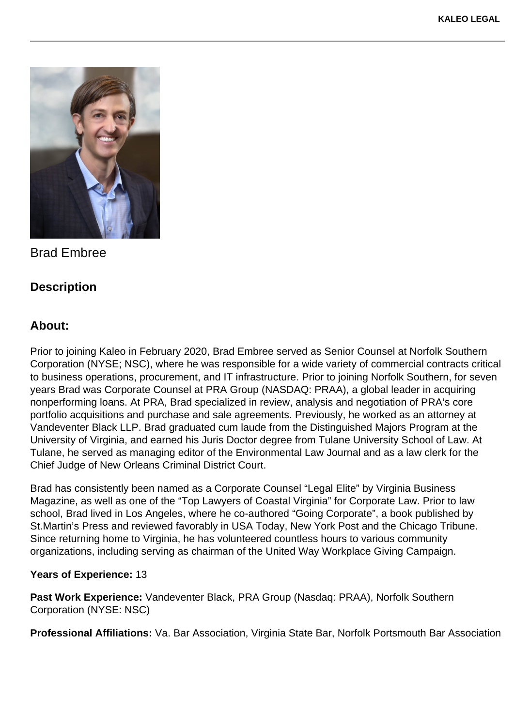

Brad Embree

## **Description**

## **About:**

Prior to joining Kaleo in February 2020, Brad Embree served as Senior Counsel at Norfolk Southern Corporation (NYSE; NSC), where he was responsible for a wide variety of commercial contracts critical to business operations, procurement, and IT infrastructure. Prior to joining Norfolk Southern, for seven years Brad was Corporate Counsel at PRA Group (NASDAQ: PRAA), a global leader in acquiring nonperforming loans. At PRA, Brad specialized in review, analysis and negotiation of PRA's core portfolio acquisitions and purchase and sale agreements. Previously, he worked as an attorney at Vandeventer Black LLP. Brad graduated cum laude from the Distinguished Majors Program at the University of Virginia, and earned his Juris Doctor degree from Tulane University School of Law. At Tulane, he served as managing editor of the Environmental Law Journal and as a law clerk for the Chief Judge of New Orleans Criminal District Court.

Brad has consistently been named as a Corporate Counsel "Legal Elite" by Virginia Business Magazine, as well as one of the "Top Lawyers of Coastal Virginia" for Corporate Law. Prior to law school, Brad lived in Los Angeles, where he co-authored "Going Corporate", a book published by St.Martin's Press and reviewed favorably in USA Today, New York Post and the Chicago Tribune. Since returning home to Virginia, he has volunteered countless hours to various community organizations, including serving as chairman of the United Way Workplace Giving Campaign.

## **Years of Experience:** 13

**Past Work Experience:** Vandeventer Black, PRA Group (Nasdaq: PRAA), Norfolk Southern Corporation (NYSE: NSC)

**Professional Affiliations:** Va. Bar Association, Virginia State Bar, Norfolk Portsmouth Bar Association